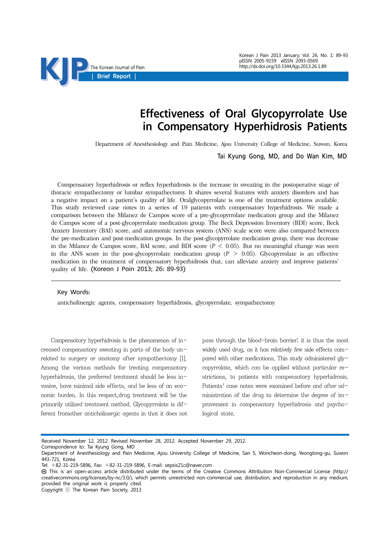# Effectiveness of Oral Glycopyrrolate Use in Compensatory Hyperhidrosis Patients

Department of Anesthesiology and Pain Medicine, Ajou University College of Medicine, Suwon, Korea

Tai Kyung Gong, MD, and Do Wan Kim, MD

Compensatory hyperhidrosis or reflex hyperhidrosis is the increase in sweating in the postoperative stage of thoracic sympathectomy or lumbar sympathectomy. It shares several features with anxiety disorders and has a negative impact on a patient's quality of life. Oralglycopyrrolate is one of the treatment options available. This study reviewed case notes in a series of 19 patients with compensatory hyperhidrosis. We made a comparison between the Milanez de Campos score of a pre-glycopyrrolate medication group and the Milanez de Campos score of a post-glycopyrrolate medication group. The Beck Depression Inventory (BDI) score, Beck Anxiety Inventory (BAI) score, and autonomic nervous system (ANS) scale score were also compared between the pre-medication and post-medication groups. In the post-glycopyrrolate medication group, there was decrease in the Milanez de Campos score, BAI score, and BDI score  $(P < 0.05)$ . But no meaningful change was seen in the ANS score in the post-glycopyrrolate medication group  $(P > 0.05)$ . Glycopyrrolate is an effective medication in the treatment of compensatory hyperhidrosis that, can alleviate anxiety and improve patients' quality of life. (Korean J Pain 2013; 26: 89-93)

#### Key Words:

anticholinergic agents, compensatory hyperhidrosis, glycopyrrolate, sympathectomy.

Compensatory hyperhidrosis is the phenomenon of increased compensatory sweating in parts of the body unrelated to surgery or anatomy after sympathectomy [1]. Among the various methods for treating compensatory hyperhidrosis, the preferred treatment should be less invasive, have minimal side effects, and be less of an economic burden. In this respect,drug treatment will be the primarily utilized treatment method. Glycopyrrolate is different fromother anticholinergic agents in that it does not

pass through the blood-brain barrier; it is thus the most widely used drug, as it has relatively few side effects compared with other medications. This study administered glycopyrrolate, which can be applied without particular restrictions, to patients with compensatory hyperhidrosis. Patients' case notes were examined before and after administration of the drug to determine the degree of improvement in compensatory hyperhidrosis and psychological state.

Received November 12, 2012. Revised November 28, 2012. Accepted November 29, 2012.

Correspondence to: Tai Kyung Gong, MD

Department of Anesthesiology and Pain Medicine, Ajou University College of Medicine, San 5, Woncheon-dong, Yeongtong-gu, Suwon 443-721, Korea

Tel: +82-31-219-5896, Fax: +82-31-219-5896, E-mail: sepsis21c@naver.com

This is an open-access article distributed under the terms of the Creative Commons Attribution Non-Commercial License (http:// creativecommons.org/licenses/by-nc/3.0/), which permits unrestricted non-commercial use, distribution, and reproduction in any medium, provided the original work is properly cited.

Copyright ⓒ The Korean Pain Society, 2013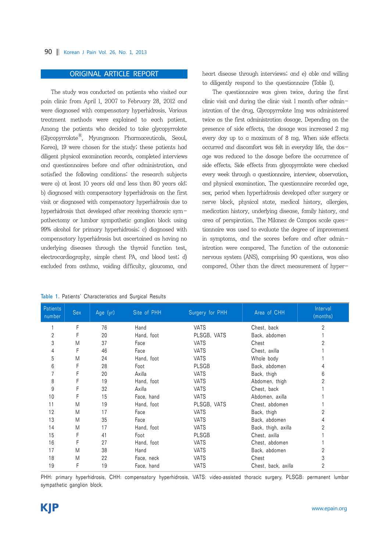#### 90 Korean J Pain Vol. 26, No. 1, 2013

# ORIGINAL ARTICLE REPORT

The study was conducted on patients who visited our pain clinic from April 1, 2007 to February 28, 2012 and were diagnosed with compensatory hyperhidrosis. Various treatment methods were explained to each patient. Among the patients who decided to take glycopyrrolate  $(Glycopyrrolate<sup>®</sup>, Myungmoon Pharmacelticals, Seoul,$ Korea), 19 were chosen for the study; these patients had diligent physical examination records, completed interviews and questionnaires before and after administration, and satisfied the following conditions: the research subjects were a) at least 10 years old and less than 80 years old; b) diagnosed with compensatory hyperhidrosis on the first visit or diagnosed with compensatory hyperhidrosis due to hyperhidrosis that developed after receiving thoracic sympathectomy or lumbar sympathetic ganglion block using 99% alcohol for primary hyperhidrosis; c) diagnosed with compensatory hyperhidrosis but ascertained as having no underlying diseases through the thyroid function test, electrocardiography, simple chest PA, and blood test; d) excluded from asthma, voiding difficulty, glaucoma, and

heart disease through interviews; and e) able and willing to diligently respond to the questionnaire (Table 1).

The questionnaire was given twice, during the first clinic visit and during the clinic visit 1 month after administration of the drug. Glycopyrrolate 1mg was administered twice as the first administration dosage. Depending on the presence of side effects, the dosage was increased 2 mg every day up to a maximum of 8 mg. When side effects occurred and discomfort was felt in everyday life, the dosage was reduced to the dosage before the occurrence of side effects. Side effects from glycopyrrolate were checked every week through a questionnaire, interview, observation, and physical examination. The questionnaire recorded age, sex, period when hyperhidrosis developed after surgery or nerve block, physical state, medical history, allergies, medication history, underlying disease, family history, and area of perspiration. The Milanez de Campos scale questionnaire was used to evaluate the degree of improvement in symptoms, and the scores before and after administration were compared. The function of the autonomic nervous system (ANS), comprising 90 questions, was also compared. Other than the direct measurement of hyper-

| <b>Patients</b><br>number | Sex | Age (yr) | Site of PHH | Surgery for PHH | Area of CHH         | Interval<br>(months) |
|---------------------------|-----|----------|-------------|-----------------|---------------------|----------------------|
|                           | F   | 76       | Hand        | <b>VATS</b>     | Chest, back         | $\overline{c}$       |
| $\overline{c}$            | F   | 20       | Hand, foot  | PLSGB, VATS     | Back, abdomen       |                      |
| 3                         | M   | 37       | Face        | <b>VATS</b>     | Chest               | 2                    |
| 4                         |     | 46       | Face        | <b>VATS</b>     | Chest, axilla       |                      |
| 5                         | M   | 24       | Hand, foot  | <b>VATS</b>     | Whole body          |                      |
| 6                         |     | 28       | Foot        | <b>PLSGB</b>    | Back, abdomen       |                      |
|                           |     | 20       | Axilla      | <b>VATS</b>     | Back, thigh         | 6                    |
| 8                         |     | 19       | Hand, foot  | <b>VATS</b>     | Abdomen, thigh      | 2                    |
| 9                         |     | 32       | Axilla      | <b>VATS</b>     | Chest, back         |                      |
| 10                        |     | 15       | Face, hand  | <b>VATS</b>     | Abdomen, axilla     |                      |
| 11                        | M   | 19       | Hand, foot  | PLSGB, VATS     | Chest, abdomen      |                      |
| 12                        | M   | 17       | Face        | <b>VATS</b>     | Back, thigh         | 2                    |
| 13                        | M   | 35       | Face        | <b>VATS</b>     | Back, abdomen       |                      |
| 14                        | Μ   | 17       | Hand, foot  | <b>VATS</b>     | Back, thigh, axilla |                      |
| 15                        | F   | 41       | Foot        | <b>PLSGB</b>    | Chest, axilla       |                      |
| 16                        | F   | 27       | Hand, foot  | <b>VATS</b>     | Chest, abdomen      |                      |
| 17                        | M   | 38       | Hand        | <b>VATS</b>     | Back, abdomen       | 2                    |
| 18                        | M   | 22       | Face, neck  | <b>VATS</b>     | Chest               | 3                    |
| 19                        | F   | 19       | Face, hand  | <b>VATS</b>     | Chest, back, axilla | 2                    |

Table 1. Patients' Characteristics and Surgical Results

PHH: primary hyperhidrosis, CHH: compensatory hyperhidrosis, VATS: video-assisted thoracic surgery, PLSGB: permanent lumbar sympathetic ganglion block.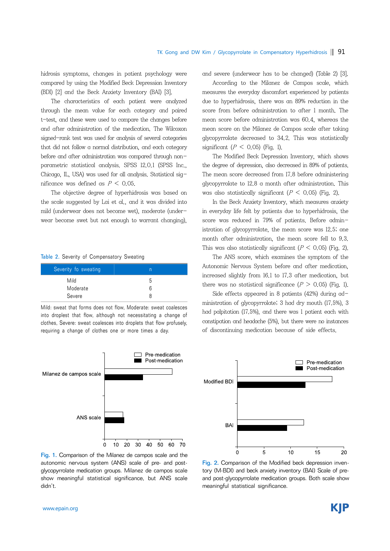hidrosis symptoms, changes in patient psychology were compared by using the Modified Beck Depression Inventory (BDI) [2] and the Beck Anxiety Inventory (BAI) [3].

The characteristics of each patient were analyzed through the mean value for each category and paired t-test, and these were used to compare the changes before and after administration of the medication. The Wilcoxon signed-rank test was used for analysis of several categories that did not follow a normal distribution, and each category before and after administration was compared through nonparametric statistical analysis. SPSS 12.0.1 (SPSS Inc., Chicago, IL, USA) was used for all analysis. Statistical significance was defined as  $P \leq 0.05$ .

The objective degree of hyperhidrosis was based on the scale suggested by Lai et al., and it was divided into mild (underwear does not become wet), moderate (underwear become swet but not enough to warrant changing),

#### Table 2. Severity of Compensatory Sweating

| Severity fo sweating |   |
|----------------------|---|
| Mild                 | ა |
| Moderate             | 6 |
| Severe               | я |

Mild: sweat that forms does not flow, Moderate: sweat coalesces into droplest that flow, although not necessitating a change of clothes, Severe: sweat coalesces into droplets that flow profusely, requiring a change of clothes one or more times a day.



Fig. 1. Comparison of the Milanez de campos scale and the autonomic nervous system (ANS) scale of pre- and postglycopyrrolate medication groups. Milanez de campos scale show meaningful statistical significance, but ANS scale didn't.

and severe (underwear has to be changed) (Table 2) [3].

According to the Milanez de Campos scale, which measures the everyday discomfort experienced by patients due to hyperhidrosis, there was an 89% reduction in the score from before administration to after 1 month. The mean score before administration was 60.4, whereas the mean score on the Milanez de Campos scale after taking glycopyrrolate decreased to 34.2. This was statistically significant ( $P < 0.05$ ) (Fig. 1).

The Modified Beck Depression Inventory, which shows the degree of depression, also decreased in 89% of patients. The mean score decreased from 17.8 before administering glycopyrrolate to 12.8 a month after administration. This was also statistically significant  $(P < 0.05)$  (Fig. 2).

In the Beck Anxiety Inventory, which measures anxiety in everyday life felt by patients due to hyperhidrosis, the score was reduced in 79% of patients. Before administration of glycopyrrolate, the mean score was 12.5; one month after administration, the mean score fell to 9.3. This was also statistically significant  $(P \le 0.05)$  (Fig. 2).

The ANS score, which examines the symptom of the Autonomic Nervous System before and after medication, increased slightly from 16.1 to 17.3 after medication, but there was no statistical significance  $(P > 0.05)$  (Fig. 1).

Side effects appeared in 8 patients (42%) during administration of glycopyrrolate; 3 had dry mouth (17.5%), 3 had palpitation (17.5%), and there was 1 patient each with constipation and headache (5%), but there were no instances of discontinuing medication because of side effects.



Fig. 2. Comparison of the Modified beck depression inventory (M-BDI) and beck anxiety inventory (BAI) Scale of preand post-glycopyrrolate medication groups. Both scale show meaningful statistical significance.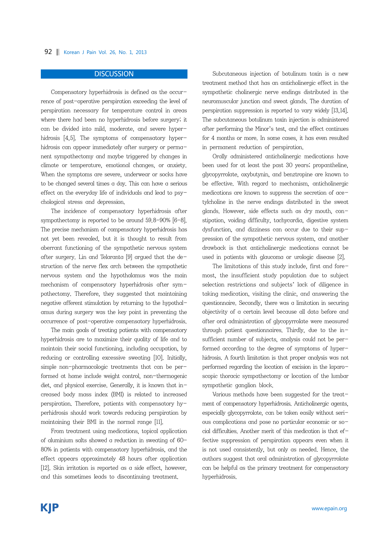## 92 | Korean J Pain Vol. 26, No. 1, 2013

# **DISCUSSION**

Compensatory hyperhidrosis is defined as the occurrence of post-operative perspiration exceeding the level of perspiration necessary for temperature control in areas where there had been no hyperhidrosis before surgery; it can be divided into mild, moderate, and severe hyperhidrosis [4,5]. The symptoms of compensatory hyperhidrosis can appear immediately after surgery or permanent sympathectomy and maybe triggered by changes in climate or temperature, emotional changes, or anxiety. When the symptoms are severe, underwear or socks have to be changed several times a day. This can have a serious effect on the everyday life of individuals and lead to psychological stress and depression.

The incidence of compensatory hyperhidrosis after sympathectomy is reported to be around 59.8-90% [6-8]. The precise mechanism of compensatory hyperhidrosis has not yet been revealed, but it is thought to result from aberrant functioning of the sympathetic nervous system after surgery. Lin and Telaranta [9] argued that the destruction of the nerve flex arch between the sympathetic nervous system and the hypothalamus was the main mechanism of compensatory hyperhidrosis after sympathectomy. Therefore, they suggested that maintaining negative afferent stimulation by returning to the hypothalamus during surgery was the key point in preventing the occurrence of post-operative compensatory hyperhidrosis.

The main goals of treating patients with compensatory hyperhidrosis are to maximize their quality of life and to maintain their social functioning, including occupation, by reducing or controlling excessive sweating [10]. Initially, simple non-pharmacologic treatments that can be performed at home include weight control, non-thermogenic diet, and physical exercise. Generally, it is known that increased body mass index (BMI) is related to increased perspiration. Therefore, patients with compensatory hyperhidrosis should work towards reducing perspiration by maintaining their BMI in the normal range [11].

From treatment using medications, topical application of aluminium salts showed a reduction in sweating of 60- 80% in patients with compensatory hyperhidrosis, and the effect appears approximately 48 hours after application [12]. Skin irritation is reported as a side effect, however, and this sometimes leads to discontinuing treatment.

Subcutaneous injection of botulinum toxin is a new treatment method that has an anticholinergic effect in the sympathetic cholinergic nerve endings distributed in the neuromuscular junction and sweat glands. The duration of perspiration suppression is reported to vary widely [13,14]. The subcutaneous botulinum toxin injection is administered after performing the Minor's test, and the effect continues for 4 months or more. In some cases, it has even resulted in permanent reduction of perspiration.

Orally administered anticholinergic medications have been used for at least the past 30 years; propantheline, glycopyrrolate, oxybutynin, and benztropine are known to be effective. With regard to mechanism, anticholinergic medications are known to suppress the secretion of acetylcholine in the nerve endings distributed in the sweat glands. However, side effects such as dry mouth, constipation, voiding difficulty, tachycardia, digestive system dysfunction, and dizziness can occur due to their suppression of the sympathetic nervous system, and another drawback is that anticholinergic medications cannot be used in patients with glaucoma or urologic disease [2].

The limitations of this study include, first and foremost, the insufficient study population due to subject selection restrictions and subjects' lack of diligence in taking medication, visiting the clinic, and answering the questionnaire. Secondly, there was a limitation in securing objectivity of a certain level because all data before and after oral administration of glycopyrrolate were measured through patient questionnaires. Thirdly, due to the insufficient number of subjects, analysis could not be performed according to the degree of symptoms of hyperhidrosis. A fourth limitation is that proper analysis was not performed regarding the location of excision in the laparoscopic thoracic sympathectomy or location of the lumbar sympathetic ganglion block.

Various methods have been suggested for the treatment of compensatory hyperhidrosis. Anticholinergic agents, especially glycopyrrolate, can be taken easily without serious complications and pose no particular economic or social difficulties. Another merit of this medication is that effective suppression of perspiration appears even when it is not used consistently, but only as needed. Hence, the authors suggest that oral administration of glycopyrrolate can be helpful as the primary treatment for compensatory hyperhidrosis.